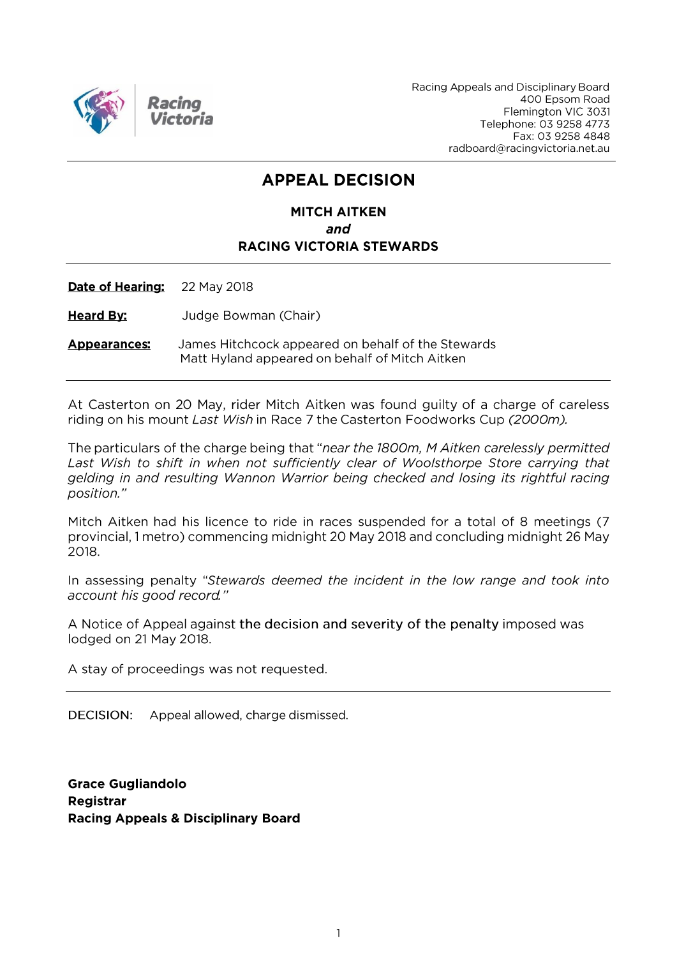

Racing Appeals and Disciplinary Board 400 Epsom Road Flemington VIC 3031 Telephone: 03 9258 4773 Fax: 03 9258 4848 radboard@racingvictoria.net.au

# **APPEAL DECISION**

# **MITCH AITKEN** and **RACING VICTORIA STEWARDS**

**Date of Hearing:** 22 May 2018

**Heard By:** Judge Bowman (Chair)

James Hitchcock appeared on behalf of the Stewards **Appearances:** Matt Hyland appeared on behalf of Mitch Aitken

At Casterton on 20 May, rider Mitch Aitken was found guilty of a charge of careless riding on his mount Last Wish in Race 7 the Casterton Foodworks Cup (2000m).

The particulars of the charge being that "near the 1800m, M Aitken carelessly permitted Last Wish to shift in when not sufficiently clear of Woolsthorpe Store carrying that gelding in and resulting Wannon Warrior being checked and losing its rightful racing position."

Mitch Aitken had his licence to ride in races suspended for a total of 8 meetings (7 provincial, 1 metro) commencing midnight 20 May 2018 and concluding midnight 26 May 2018.

In assessing penalty "Stewards deemed the incident in the low range and took into account his good record."

A Notice of Appeal against the decision and severity of the penalty imposed was lodged on 21 May 2018.

A stay of proceedings was not requested.

DECISION: Appeal allowed, charge dismissed.

**Grace Gugliandolo Registrar Racing Appeals & Disciplinary Board**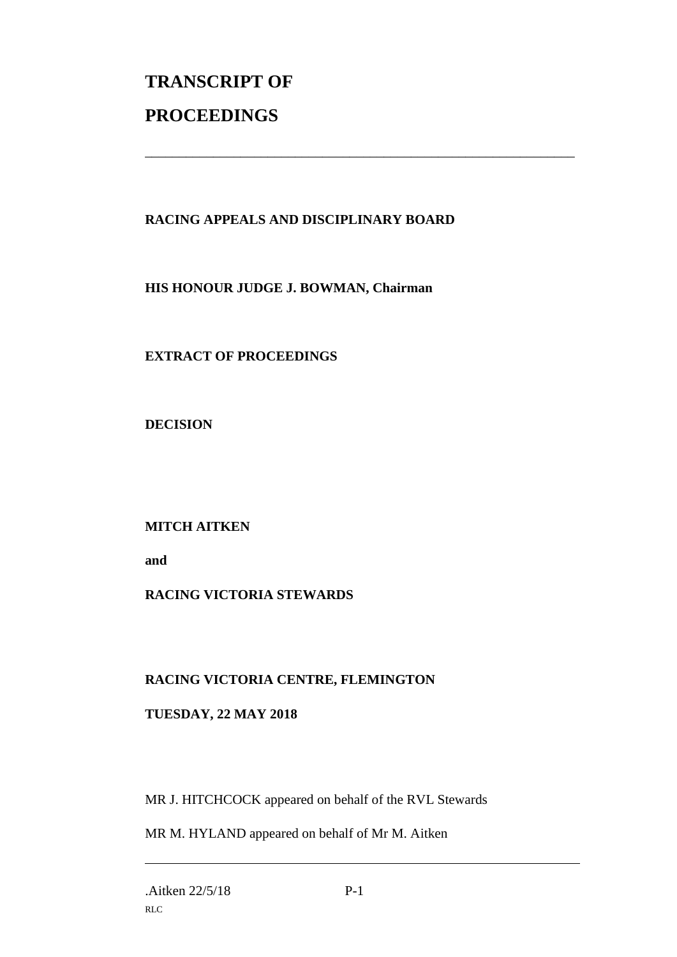# **TRANSCRIPT OF PROCEEDINGS**

# **RACING APPEALS AND DISCIPLINARY BOARD**

\_\_\_\_\_\_\_\_\_\_\_\_\_\_\_\_\_\_\_\_\_\_\_\_\_\_\_\_\_\_\_\_\_\_\_\_\_\_\_\_\_\_\_\_\_\_\_\_\_\_\_\_\_\_\_\_\_\_\_\_\_\_\_

**HIS HONOUR JUDGE J. BOWMAN, Chairman**

**EXTRACT OF PROCEEDINGS**

**DECISION**

**MITCH AITKEN**

**and** 

### **RACING VICTORIA STEWARDS**

### **RACING VICTORIA CENTRE, FLEMINGTON**

### **TUESDAY, 22 MAY 2018**

MR J. HITCHCOCK appeared on behalf of the RVL Stewards

MR M. HYLAND appeared on behalf of Mr M. Aitken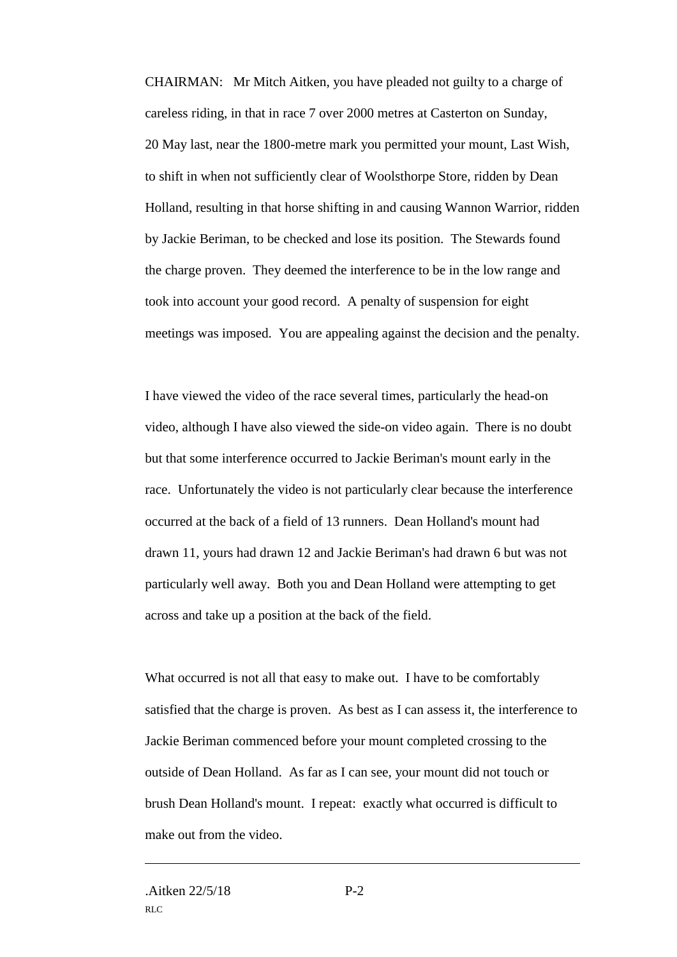CHAIRMAN: Mr Mitch Aitken, you have pleaded not guilty to a charge of careless riding, in that in race 7 over 2000 metres at Casterton on Sunday, 20 May last, near the 1800-metre mark you permitted your mount, Last Wish, to shift in when not sufficiently clear of Woolsthorpe Store, ridden by Dean Holland, resulting in that horse shifting in and causing Wannon Warrior, ridden by Jackie Beriman, to be checked and lose its position. The Stewards found the charge proven. They deemed the interference to be in the low range and took into account your good record. A penalty of suspension for eight meetings was imposed. You are appealing against the decision and the penalty.

I have viewed the video of the race several times, particularly the head-on video, although I have also viewed the side-on video again. There is no doubt but that some interference occurred to Jackie Beriman's mount early in the race. Unfortunately the video is not particularly clear because the interference occurred at the back of a field of 13 runners. Dean Holland's mount had drawn 11, yours had drawn 12 and Jackie Beriman's had drawn 6 but was not particularly well away. Both you and Dean Holland were attempting to get across and take up a position at the back of the field.

What occurred is not all that easy to make out. I have to be comfortably satisfied that the charge is proven. As best as I can assess it, the interference to Jackie Beriman commenced before your mount completed crossing to the outside of Dean Holland. As far as I can see, your mount did not touch or brush Dean Holland's mount. I repeat: exactly what occurred is difficult to make out from the video.